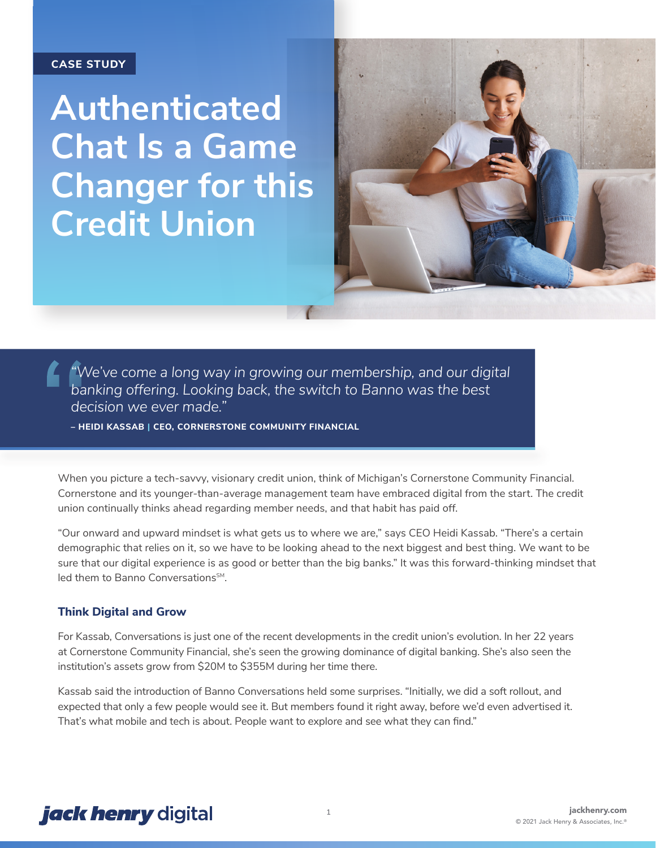## **CASE STUDY**

**Authenticated Chat Is a Game Changer for this Credit Union**



*"We've come a long way in growing our membership, and our digital banking offering. Looking back, the switch to Banno was the best decision we ever made."*

**– HEIDI KASSAB | CEO, CORNERSTONE COMMUNITY FINANCIAL** 

When you picture a tech-savvy, visionary credit union, think of Michigan's Cornerstone Community Financial. Cornerstone and its younger-than-average management team have embraced digital from the start. The credit union continually thinks ahead regarding member needs, and that habit has paid off.

"Our onward and upward mindset is what gets us to where we are," says CEO Heidi Kassab. "There's a certain demographic that relies on it, so we have to be looking ahead to the next biggest and best thing. We want to be sure that our digital experience is as good or better than the big banks." It was this forward-thinking mindset that led them to Banno Conversations<sup>SM</sup>.

## **Think Digital and Grow**

For Kassab, Conversations is just one of the recent developments in the credit union's evolution. In her 22 years at Cornerstone Community Financial, she's seen the growing dominance of digital banking. She's also seen the institution's assets grow from \$20M to \$355M during her time there.

Kassab said the introduction of Banno Conversations held some surprises. "Initially, we did a soft rollout, and expected that only a few people would see it. But members found it right away, before we'd even advertised it. That's what mobile and tech is about. People want to explore and see what they can find."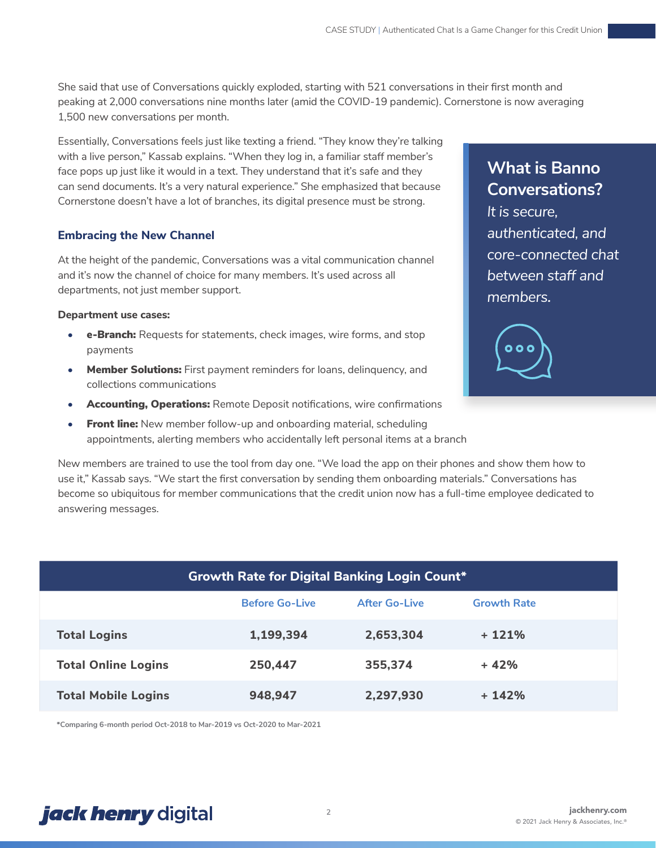She said that use of Conversations quickly exploded, starting with 521 conversations in their first month and peaking at 2,000 conversations nine months later (amid the COVID-19 pandemic). Cornerstone is now averaging 1,500 new conversations per month.

Essentially, Conversations feels just like texting a friend. "They know they're talking with a live person," Kassab explains. "When they log in, a familiar staff member's face pops up just like it would in a text. They understand that it's safe and they can send documents. It's a very natural experience." She emphasized that because Cornerstone doesn't have a lot of branches, its digital presence must be strong.

## **Embracing the New Channel**

At the height of the pandemic, Conversations was a vital communication channel and it's now the channel of choice for many members. It's used across all departments, not just member support.

## **Department use cases:**

- **e-Branch:** Requests for statements, check images, wire forms, and stop payments
- **Member Solutions:** First payment reminders for loans, delinquency, and collections communications
- **Accounting, Operations:** Remote Deposit notifications, wire confirmations
- **•** Front line: New member follow-up and onboarding material, scheduling appointments, alerting members who accidentally left personal items at a branch

New members are trained to use the tool from day one. "We load the app on their phones and show them how to use it," Kassab says. "We start the first conversation by sending them onboarding materials." Conversations has become so ubiquitous for member communications that the credit union now has a full-time employee dedicated to answering messages.

| <b>Growth Rate for Digital Banking Login Count*</b> |
|-----------------------------------------------------|
|-----------------------------------------------------|

|                            | <b>Before Go-Live</b> | <b>After Go-Live</b> | <b>Growth Rate</b> |
|----------------------------|-----------------------|----------------------|--------------------|
| <b>Total Logins</b>        | 1,199,394             | 2,653,304            | $+121%$            |
| <b>Total Online Logins</b> | 250,447               | 355,374              | $+42%$             |
| <b>Total Mobile Logins</b> | 948,947               | 2,297,930            | $+142%$            |

**\*Comparing 6-month period Oct-2018 to Mar-2019 vs Oct-2020 to Mar-2021**

## **What is Banno Conversations?**

*It is secure, authenticated, and core-connected chat between staff and members.* 

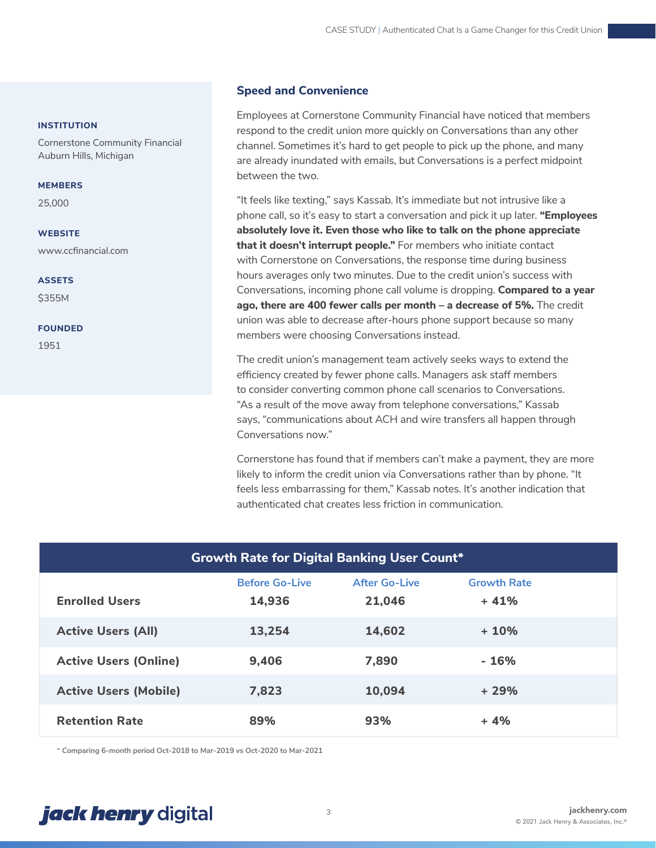### **INSTITUTION**

Cornerstone Community Financial Auburn Hills, Michigan

#### **MEMBERS**

25,000

### **WEBSITE**

www.ccfinancial.com

**ASSETS**

\$355M

#### **FOUNDED**

1951

## **Speed and Convenience**

Employees at Cornerstone Community Financial have noticed that members respond to the credit union more quickly on Conversations than any other channel. Sometimes it's hard to get people to pick up the phone, and many are already inundated with emails, but Conversations is a perfect midpoint between the two.

"It feels like texting," says Kassab. It's immediate but not intrusive like a phone call, so it's easy to start a conversation and pick it up later. **"Employees absolutely love it. Even those who like to talk on the phone appreciate that it doesn't interrupt people."** For members who initiate contact with Cornerstone on Conversations, the response time during business hours averages only two minutes. Due to the credit union's success with Conversations, incoming phone call volume is dropping. **Compared to a year ago, there are 400 fewer calls per month – a decrease of 5%.** The credit union was able to decrease after-hours phone support because so many members were choosing Conversations instead.

The credit union's management team actively seeks ways to extend the efficiency created by fewer phone calls. Managers ask staff members to consider converting common phone call scenarios to Conversations. "As a result of the move away from telephone conversations," Kassab says, "communications about ACH and wire transfers all happen through Conversations now."

Cornerstone has found that if members can't make a payment, they are more likely to inform the credit union via Conversations rather than by phone. "It feels less embarrassing for them," Kassab notes. It's another indication that authenticated chat creates less friction in communication.

| <b>Growth Rate for Digital Banking User Count*</b> |                       |                      |                    |  |  |
|----------------------------------------------------|-----------------------|----------------------|--------------------|--|--|
|                                                    | <b>Before Go-Live</b> | <b>After Go-Live</b> | <b>Growth Rate</b> |  |  |
| <b>Enrolled Users</b>                              | 14,936                | 21,046               | $+41%$             |  |  |
| <b>Active Users (All)</b>                          | 13,254                | 14,602               | $+10%$             |  |  |
| <b>Active Users (Online)</b>                       | 9,406                 | 7,890                | - 16%              |  |  |
| <b>Active Users (Mobile)</b>                       | 7,823                 | 10,094               | $+29%$             |  |  |
| <b>Retention Rate</b>                              | 89%                   | 93%                  | $+4%$              |  |  |

**\* Comparing 6-month period Oct-2018 to Mar-2019 vs Oct-2020 to Mar-2021**

# *jack henry* digital